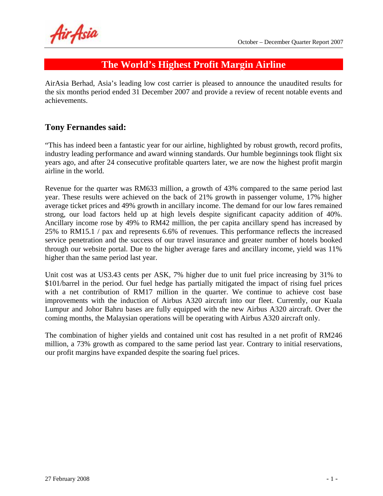Air Asia

# **The World's Highest Profit Margin Airline**

AirAsia Berhad, Asia's leading low cost carrier is pleased to announce the unaudited results for the six months period ended 31 December 2007 and provide a review of recent notable events and achievements.

## **Tony Fernandes said:**

"This has indeed been a fantastic year for our airline, highlighted by robust growth, record profits, industry leading performance and award winning standards. Our humble beginnings took flight six years ago, and after 24 consecutive profitable quarters later, we are now the highest profit margin airline in the world.

Revenue for the quarter was RM633 million, a growth of 43% compared to the same period last year. These results were achieved on the back of 21% growth in passenger volume, 17% higher average ticket prices and 49% growth in ancillary income. The demand for our low fares remained strong, our load factors held up at high levels despite significant capacity addition of 40%. Ancillary income rose by 49% to RM42 million, the per capita ancillary spend has increased by 25% to RM15.1 / pax and represents 6.6% of revenues. This performance reflects the increased service penetration and the success of our travel insurance and greater number of hotels booked through our website portal. Due to the higher average fares and ancillary income, yield was 11% higher than the same period last year.

Unit cost was at US3.43 cents per ASK, 7% higher due to unit fuel price increasing by 31% to \$101/barrel in the period. Our fuel hedge has partially mitigated the impact of rising fuel prices with a net contribution of RM17 million in the quarter. We continue to achieve cost base improvements with the induction of Airbus A320 aircraft into our fleet. Currently, our Kuala Lumpur and Johor Bahru bases are fully equipped with the new Airbus A320 aircraft. Over the coming months, the Malaysian operations will be operating with Airbus A320 aircraft only.

The combination of higher yields and contained unit cost has resulted in a net profit of RM246 million, a 73% growth as compared to the same period last year. Contrary to initial reservations, our profit margins have expanded despite the soaring fuel prices.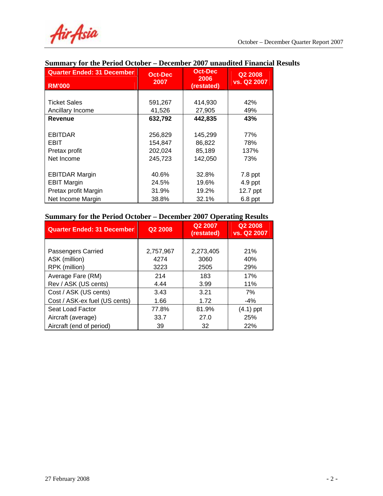| <b>Quarter Ended: 31 December</b><br><b>RM'000</b> | <b>Oct-Dec</b><br>2007 | <b>Oct-Dec</b><br>2006<br>(restated) | Q2 2008<br>vs. Q2 2007 |
|----------------------------------------------------|------------------------|--------------------------------------|------------------------|
|                                                    |                        |                                      |                        |
| <b>Ticket Sales</b>                                | 591,267                | 414,930                              | 42%                    |
| Ancillary Income                                   | 41,526                 | 27,905                               | 49%                    |
| Revenue                                            | 632,792                | 442,835                              | 43%                    |
|                                                    |                        |                                      |                        |
| <b>EBITDAR</b>                                     | 256,829                | 145,299                              | 77%                    |
| <b>EBIT</b>                                        | 154,847                | 86,822                               | 78%                    |
| Pretax profit                                      | 202,024                | 85,189                               | 137%                   |
| Net Income                                         | 245,723                | 142,050                              | 73%                    |
|                                                    |                        |                                      |                        |
| <b>EBITDAR Margin</b>                              | 40.6%                  | 32.8%                                | $7.8$ ppt              |
| <b>EBIT Margin</b>                                 | 24.5%                  | 19.6%                                | $4.9$ ppt              |
| Pretax profit Margin                               | 31.9%                  | 19.2%                                | 12.7 ppt               |
| Net Income Margin                                  | 38.8%                  | 32.1%                                | $6.8$ ppt              |

# **Summary for the Period October – December 2007 unaudited Financial Results**

### **Summary for the Period October – December 2007 Operating Results**

| <b>Quarter Ended: 31 December</b> | Q <sub>2</sub> 2008 | Q2 2007<br>(restated) | Q2 2008<br>vs. Q2 2007 |
|-----------------------------------|---------------------|-----------------------|------------------------|
|                                   |                     |                       |                        |
| Passengers Carried                | 2,757,967           | 2,273,405             | <b>21%</b>             |
| ASK (million)                     | 4274                | 3060                  | 40%                    |
| RPK (million)                     | 3223                | 2505                  | 29%                    |
| Average Fare (RM)                 | 214                 | 183                   | 17%                    |
| Rev / ASK (US cents)              | 4.44                | 3.99                  | 11%                    |
| Cost / ASK (US cents)             | 3.43                | 3.21                  | 7%                     |
| Cost / ASK-ex fuel (US cents)     | 1.66                | 1.72                  | $-4\%$                 |
| Seat Load Factor                  | 77.8%               | 81.9%                 | $(4.1)$ ppt            |
| Aircraft (average)                | 33.7                | 27.0                  | 25%                    |
| Aircraft (end of period)          | 39                  | 32                    | 22%                    |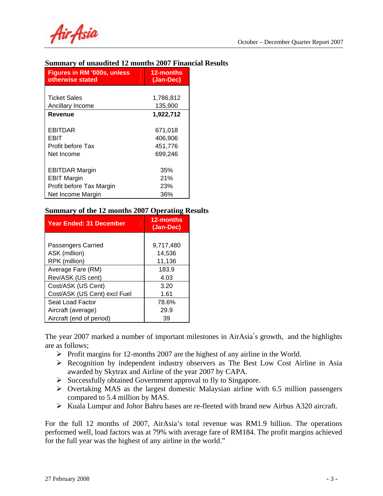Air Asia

### **Summary of unaudited 12 months 2007 Financial Results**

| <b>Figures in RM '000s, unless</b><br>otherwise stated | 12-months<br>(Jan-Dec) |
|--------------------------------------------------------|------------------------|
|                                                        |                        |
| <b>Ticket Sales</b>                                    | 1,786,812              |
| Ancillary Income                                       | 135,900                |
| Revenue                                                | 1,922,712              |
|                                                        |                        |
| EBITDAR                                                | 671,018                |
| EBIT                                                   | 406,906                |
| Profit before Tax                                      | 451,776                |
| Net Income                                             | 699.246                |
|                                                        |                        |
| <b>EBITDAR Margin</b>                                  | 35%                    |
| <b>EBIT Margin</b>                                     | 21%                    |
| Profit before Tax Margin                               | 23%                    |
| Net Income Margin                                      | 36%                    |

### **Summary of the 12 months 2007 Operating Results**

| <b>Year Ended: 31 December</b> | 12-months<br>(Jan-Dec) |
|--------------------------------|------------------------|
|                                |                        |
| Passengers Carried             | 9,717,480              |
| ASK (million)                  | 14,536                 |
| RPK (million)                  | 11,136                 |
| Average Fare (RM)              | 183.9                  |
| Rev/ASK (US cent)              | 4.03                   |
| Cost/ASK (US Cent)             | 3.20                   |
| Cost/ASK (US Cent) excl Fuel   | 1.61                   |
| Seat Load Factor               | 78.6%                  |
| Aircraft (average)             | 29.9                   |
| Aircraft (end of period)       | 39                     |

The year 2007 marked a number of important milestones in AirAsia's growth, and the highlights are as follows;

- $\triangleright$  Profit margins for 12-months 2007 are the highest of any airline in the World.
- ¾ Recognition by independent industry observers as The Best Low Cost Airline in Asia awarded by Skytrax and Airline of the year 2007 by CAPA.
- ¾ Successfully obtained Government approval to fly to Singapore.
- $\triangleright$  Overtaking MAS as the largest domestic Malaysian airline with 6.5 million passengers compared to 5.4 million by MAS.
- ¾ Kuala Lumpur and Johor Bahru bases are re-fleeted with brand new Airbus A320 aircraft.

For the full 12 months of 2007, AirAsia's total revenue was RM1.9 billion. The operations performed well, load factors was at 79% with average fare of RM184. The profit margins achieved for the full year was the highest of any airline in the world."